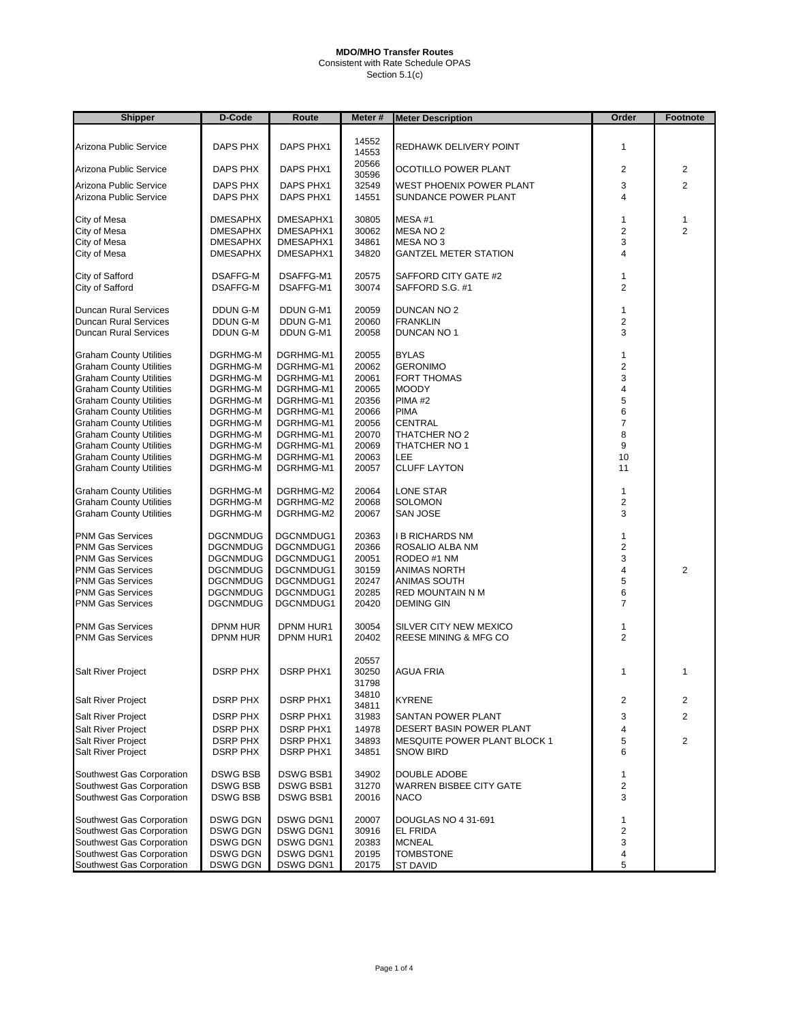Consistent with Rate Schedule OPAS Section 5.1(c)

| <b>Shipper</b>                                                   | D-Code               | Route                  | Meter#         | <b>Meter Description</b>     | Order          | Footnote       |  |
|------------------------------------------------------------------|----------------------|------------------------|----------------|------------------------------|----------------|----------------|--|
|                                                                  |                      |                        |                |                              |                |                |  |
| Arizona Public Service                                           | <b>DAPS PHX</b>      | DAPS PHX1              | 14552<br>14553 | REDHAWK DELIVERY POINT       | 1              |                |  |
| Arizona Public Service                                           | DAPS PHX             | DAPS PHX1              | 20566<br>30596 | OCOTILLO POWER PLANT         | 2              | 2              |  |
| Arizona Public Service                                           | DAPS PHX             | DAPS PHX1              | 32549          | WEST PHOENIX POWER PLANT     | 3              | 2              |  |
| Arizona Public Service                                           | DAPS PHX             | DAPS PHX1              | 14551          | SUNDANCE POWER PLANT         | 4              |                |  |
| City of Mesa                                                     | <b>DMESAPHX</b>      | DMESAPHX1              | 30805          | MESA#1                       | 1              | $\mathbf{1}$   |  |
| City of Mesa                                                     | <b>DMESAPHX</b>      | DMESAPHX1              | 30062          | MESA NO 2                    | 2              | $\overline{2}$ |  |
| City of Mesa                                                     | <b>DMESAPHX</b>      | DMESAPHX1              | 34861          | MESA NO 3                    | 3              |                |  |
| City of Mesa                                                     | <b>DMESAPHX</b>      | DMESAPHX1              | 34820          | <b>GANTZEL METER STATION</b> | 4              |                |  |
| City of Safford                                                  | <b>DSAFFG-M</b>      | DSAFFG-M1              | 20575          | SAFFORD CITY GATE #2         | 1              |                |  |
| City of Safford                                                  | <b>DSAFFG-M</b>      | DSAFFG-M1              | 30074          | SAFFORD S.G. #1              | $\overline{2}$ |                |  |
| Duncan Rural Services                                            | DDUN G-M             | DDUN G-M1              | 20059          | DUNCAN NO 2                  | 1              |                |  |
| Duncan Rural Services                                            | DDUN G-M             | DDUN G-M1              | 20060          | FRANKLIN                     | 2              |                |  |
| Duncan Rural Services                                            | DDUN G-M             | DDUN G-M1              | 20058          | DUNCAN NO 1                  | 3              |                |  |
| <b>Graham County Utilities</b>                                   | DGRHMG-M             | DGRHMG-M1              | 20055          | <b>BYLAS</b>                 | 1              |                |  |
| <b>Graham County Utilities</b>                                   | DGRHMG-M             | DGRHMG-M1              | 20062          | <b>GERONIMO</b>              | 2              |                |  |
| <b>Graham County Utilities</b>                                   | DGRHMG-M             | DGRHMG-M1              | 20061          | <b>FORT THOMAS</b>           | 3              |                |  |
| <b>Graham County Utilities</b>                                   | DGRHMG-M             | DGRHMG-M1              | 20065          | MOODY                        | 4              |                |  |
| <b>Graham County Utilities</b>                                   | DGRHMG-M             | DGRHMG-M1              | 20356          | PIMA <sub>#2</sub>           | 5              |                |  |
| <b>Graham County Utilities</b>                                   | DGRHMG-M             | DGRHMG-M1              | 20066          | PIMA                         | 6<br>7         |                |  |
| <b>Graham County Utilities</b><br><b>Graham County Utilities</b> | DGRHMG-M<br>DGRHMG-M | DGRHMG-M1<br>DGRHMG-M1 | 20056<br>20070 | CENTRAL<br>THATCHER NO 2     | 8              |                |  |
| <b>Graham County Utilities</b>                                   | DGRHMG-M             | DGRHMG-M1              | 20069          | THATCHER NO 1                | 9              |                |  |
| <b>Graham County Utilities</b>                                   | DGRHMG-M             | DGRHMG-M1              | 20063          | LEE                          | 10             |                |  |
| <b>Graham County Utilities</b>                                   | DGRHMG-M             | DGRHMG-M1              | 20057          | CLUFF LAYTON                 | 11             |                |  |
| <b>Graham County Utilities</b>                                   | DGRHMG-M             | DGRHMG-M2              | 20064          | LONE STAR                    | 1              |                |  |
| <b>Graham County Utilities</b>                                   | DGRHMG-M             | DGRHMG-M2              | 20068          | SOLOMON                      | 2              |                |  |
| <b>Graham County Utilities</b>                                   | DGRHMG-M             | DGRHMG-M2              | 20067          | SAN JOSE                     | 3              |                |  |
| <b>PNM Gas Services</b>                                          | <b>DGCNMDUG</b>      | DGCNMDUG1              | 20363          | I B RICHARDS NM              | 1              |                |  |
| <b>PNM Gas Services</b>                                          | <b>DGCNMDUG</b>      | DGCNMDUG1              | 20366          | ROSALIO ALBA NM              | $\overline{2}$ |                |  |
| <b>PNM Gas Services</b>                                          | <b>DGCNMDUG</b>      | DGCNMDUG1              | 20051          | RODEO #1 NM                  | 3              |                |  |
| <b>PNM Gas Services</b>                                          | <b>DGCNMDUG</b>      | DGCNMDUG1              | 30159          | ANIMAS NORTH                 | 4              | $\overline{2}$ |  |
| PNM Gas Services                                                 | <b>DGCNMDUG</b>      | DGCNMDUG1              | 20247          | ANIMAS SOUTH                 | 5              |                |  |
| <b>PNM Gas Services</b>                                          | <b>DGCNMDUG</b>      | DGCNMDUG1              | 20285          | RED MOUNTAIN N M             | 6<br>7         |                |  |
| PNM Gas Services                                                 | <b>DGCNMDUG</b>      | DGCNMDUG1              | 20420          | DEMING GIN                   |                |                |  |
| <b>PNM Gas Services</b>                                          | <b>DPNM HUR</b>      | DPNM HUR1              | 30054          | SILVER CITY NEW MEXICO       | 1              |                |  |
| <b>PNM Gas Services</b>                                          | DPNM HUR             | DPNM HUR1              | 20402          | REESE MINING & MFG CO        | $\overline{2}$ |                |  |
|                                                                  |                      |                        | 20557          |                              |                |                |  |
| <b>Salt River Project</b>                                        | <b>DSRP PHX</b>      | <b>DSRP PHX1</b>       | 30250          | AGUA FRIA                    | 1              | $\mathbf{1}$   |  |
|                                                                  |                      |                        | 31798<br>34810 |                              |                |                |  |
| Salt River Project                                               | <b>DSRP PHX</b>      | <b>DSRP PHX1</b>       | 34811          | KYRENE                       | 2              | 2              |  |
| Salt River Project                                               | <b>DSRP PHX</b>      | <b>DSRP PHX1</b>       | 31983          | SANTAN POWER PLANT           | 3              | $\overline{2}$ |  |
| Salt River Project                                               | <b>DSRP PHX</b>      | <b>DSRP PHX1</b>       | 14978          | DESERT BASIN POWER PLANT     | 4              |                |  |
| Salt River Project                                               | <b>DSRP PHX</b>      | <b>DSRP PHX1</b>       | 34893          | MESQUITE POWER PLANT BLOCK 1 | 5              | $\overline{c}$ |  |
| Salt River Project                                               | <b>DSRP PHX</b>      | <b>DSRP PHX1</b>       | 34851          | SNOW BIRD                    | 6              |                |  |
| Southwest Gas Corporation                                        | <b>DSWG BSB</b>      | <b>DSWG BSB1</b>       | 34902          | DOUBLE ADOBE                 | 1              |                |  |
| Southwest Gas Corporation                                        | <b>DSWG BSB</b>      | <b>DSWG BSB1</b>       | 31270          | WARREN BISBEE CITY GATE      | 2              |                |  |
| Southwest Gas Corporation                                        | <b>DSWG BSB</b>      | <b>DSWG BSB1</b>       | 20016          | NACO                         | 3              |                |  |
| Southwest Gas Corporation                                        | <b>DSWG DGN</b>      | <b>DSWG DGN1</b>       | 20007          | DOUGLAS NO 4 31-691          | 1              |                |  |
| Southwest Gas Corporation                                        | <b>DSWG DGN</b>      | DSWG DGN1              | 30916          | EL FRIDA                     | 2              |                |  |
| Southwest Gas Corporation                                        | <b>DSWG DGN</b>      | DSWG DGN1              | 20383          | <b>MCNEAL</b>                | 3              |                |  |
| Southwest Gas Corporation                                        | <b>DSWG DGN</b>      | DSWG DGN1              | 20195          | TOMBSTONE                    | 4              |                |  |
| Southwest Gas Corporation                                        | <b>DSWG DGN</b>      | DSWG DGN1              | 20175          | <b>ST DAVID</b>              | 5              |                |  |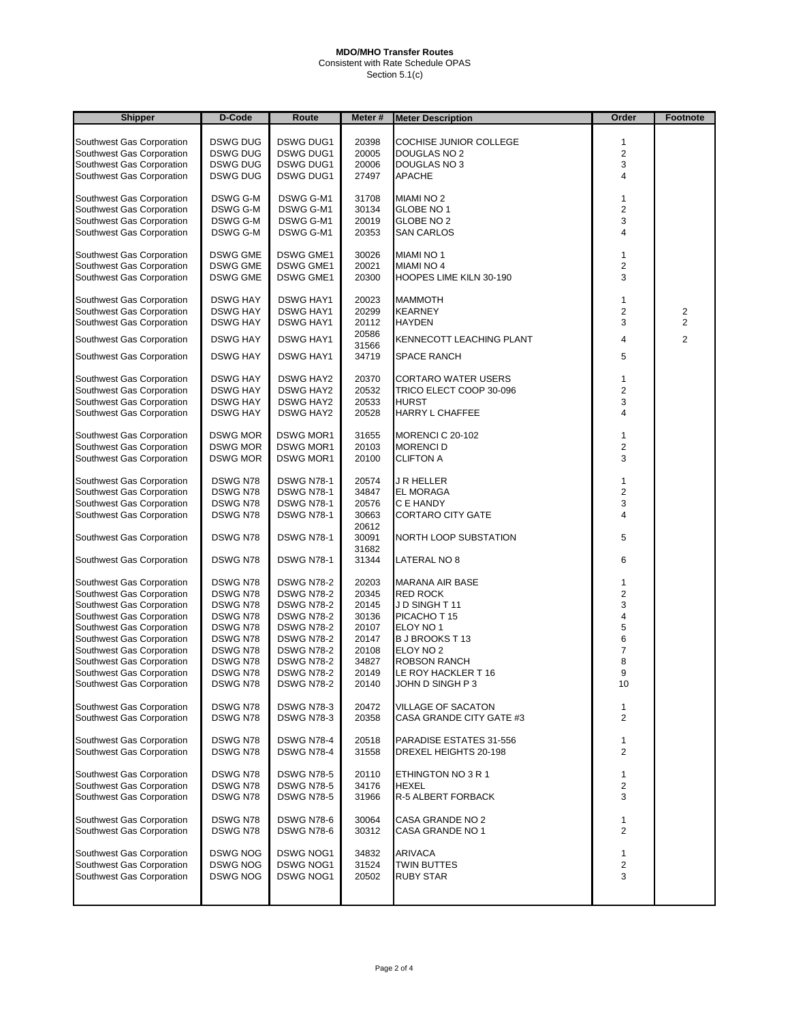Consistent with Rate Schedule OPAS Section 5.1(c)

| <b>Shipper</b>            | D-Code          | Route             | Meter #        | <b>Meter Description</b>           | Order                   | Footnote                |
|---------------------------|-----------------|-------------------|----------------|------------------------------------|-------------------------|-------------------------|
|                           |                 |                   |                |                                    |                         |                         |
| Southwest Gas Corporation | <b>DSWG DUG</b> | <b>DSWG DUG1</b>  | 20398          | COCHISE JUNIOR COLLEGE             | 1                       |                         |
| Southwest Gas Corporation | <b>DSWG DUG</b> | <b>DSWG DUG1</b>  | 20005          | <b>DOUGLAS NO 2</b>                | $\overline{\mathbf{c}}$ |                         |
| Southwest Gas Corporation | <b>DSWG DUG</b> | <b>DSWG DUG1</b>  | 20006          | DOUGLAS NO 3                       | 3                       |                         |
| Southwest Gas Corporation | <b>DSWG DUG</b> | <b>DSWG DUG1</b>  | 27497          | APACHE                             | 4                       |                         |
| Southwest Gas Corporation | DSWG G-M        | DSWG G-M1         | 31708          | <b>MIAMI NO 2</b>                  | 1                       |                         |
| Southwest Gas Corporation | DSWG G-M        | DSWG G-M1         | 30134          | GLOBE NO 1                         | $\overline{c}$          |                         |
| Southwest Gas Corporation | DSWG G-M        | DSWG G-M1         | 20019          | GLOBE NO 2                         | 3                       |                         |
| Southwest Gas Corporation | DSWG G-M        | DSWG G-M1         | 20353          | SAN CARLOS                         | 4                       |                         |
|                           |                 |                   |                |                                    |                         |                         |
| Southwest Gas Corporation | <b>DSWG GME</b> | <b>DSWG GME1</b>  | 30026          | <b>MIAMI NO 1</b>                  | 1                       |                         |
| Southwest Gas Corporation | <b>DSWG GME</b> | <b>DSWG GME1</b>  | 20021          | <b>MIAMI NO 4</b>                  | $\overline{2}$          |                         |
| Southwest Gas Corporation | <b>DSWG GME</b> | <b>DSWG GME1</b>  | 20300          | HOOPES LIME KILN 30-190            | 3                       |                         |
| Southwest Gas Corporation | <b>DSWG HAY</b> | <b>DSWG HAY1</b>  | 20023          | <b>MAMMOTH</b>                     | 1                       |                         |
| Southwest Gas Corporation | <b>DSWG HAY</b> | <b>DSWG HAY1</b>  | 20299          | <b>KEARNEY</b>                     | $\overline{\mathbf{c}}$ | $\overline{\mathbf{c}}$ |
| Southwest Gas Corporation | <b>DSWG HAY</b> | <b>DSWG HAY1</b>  | 20112          | <b>HAYDEN</b>                      | 3                       | $\overline{c}$          |
|                           |                 |                   | 20586          |                                    |                         |                         |
| Southwest Gas Corporation | <b>DSWG HAY</b> | <b>DSWG HAY1</b>  | 31566          | KENNECOTT LEACHING PLANT           | 4                       | $\overline{2}$          |
| Southwest Gas Corporation | <b>DSWG HAY</b> | <b>DSWG HAY1</b>  | 34719          | SPACE RANCH                        | 5                       |                         |
| Southwest Gas Corporation | <b>DSWG HAY</b> | <b>DSWG HAY2</b>  | 20370          | CORTARO WATER USERS                | 1                       |                         |
|                           | <b>DSWG HAY</b> |                   |                |                                    |                         |                         |
| Southwest Gas Corporation |                 | <b>DSWG HAY2</b>  | 20532          | TRICO ELECT COOP 30-096            | $\overline{c}$          |                         |
| Southwest Gas Corporation | <b>DSWG HAY</b> | <b>DSWG HAY2</b>  | 20533          | <b>HURST</b>                       | 3                       |                         |
| Southwest Gas Corporation | <b>DSWG HAY</b> | <b>DSWG HAY2</b>  | 20528          | HARRY L CHAFFEE                    | 4                       |                         |
| Southwest Gas Corporation | <b>DSWG MOR</b> | <b>DSWG MOR1</b>  | 31655          | MORENCI C 20-102                   | 1                       |                         |
| Southwest Gas Corporation | <b>DSWG MOR</b> | <b>DSWG MOR1</b>  | 20103          | <b>MORENCID</b>                    | $\overline{\mathbf{c}}$ |                         |
| Southwest Gas Corporation | <b>DSWG MOR</b> | <b>DSWG MOR1</b>  | 20100          | <b>CLIFTON A</b>                   | 3                       |                         |
| Southwest Gas Corporation | DSWG N78        | <b>DSWG N78-1</b> | 20574          |                                    |                         |                         |
|                           |                 | <b>DSWG N78-1</b> |                | J R HELLER                         | 1                       |                         |
| Southwest Gas Corporation | DSWG N78        |                   | 34847          | <b>EL MORAGA</b>                   | $\overline{\mathbf{c}}$ |                         |
| Southwest Gas Corporation | DSWG N78        | <b>DSWG N78-1</b> | 20576          | C E HANDY                          | 3                       |                         |
| Southwest Gas Corporation | DSWG N78        | <b>DSWG N78-1</b> | 30663<br>20612 | <b>CORTARO CITY GATE</b>           | $\overline{4}$          |                         |
| Southwest Gas Corporation | DSWG N78        | <b>DSWG N78-1</b> | 30091<br>31682 | NORTH LOOP SUBSTATION              | 5                       |                         |
| Southwest Gas Corporation | DSWG N78        | <b>DSWG N78-1</b> | 31344          | LATERAL NO 8                       | 6                       |                         |
| Southwest Gas Corporation | DSWG N78        | <b>DSWG N78-2</b> | 20203          | <b>MARANA AIR BASE</b>             | 1                       |                         |
| Southwest Gas Corporation | DSWG N78        | <b>DSWG N78-2</b> | 20345          | <b>RED ROCK</b>                    | $\overline{\mathbf{c}}$ |                         |
| Southwest Gas Corporation | DSWG N78        | <b>DSWG N78-2</b> | 20145          | JD SINGHT11                        | 3                       |                         |
| Southwest Gas Corporation | DSWG N78        | <b>DSWG N78-2</b> | 30136          | PICACHO T 15                       | 4                       |                         |
| Southwest Gas Corporation | DSWG N78        | <b>DSWG N78-2</b> | 20107          | ELOY NO 1                          | 5                       |                         |
| Southwest Gas Corporation | DSWG N78        | <b>DSWG N78-2</b> | 20147          | <b>BJ BROOKS T13</b>               | 6                       |                         |
| Southwest Gas Corporation | DSWG N78        | <b>DSWG N78-2</b> | 20108          | ELOY NO 2                          | $\overline{7}$          |                         |
| Southwest Gas Corporation | DSWG N78        | <b>DSWG N78-2</b> | 34827          | ROBSON RANCH                       | 8                       |                         |
| Southwest Gas Corporation | DSWG N78        | <b>DSWG N78-2</b> | 20149          | LE ROY HACKLER T 16                | 9                       |                         |
| Southwest Gas Corporation | DSWG N78        | <b>DSWG N78-2</b> | 20140          | JOHN D SINGH P 3                   | 10                      |                         |
|                           |                 |                   |                |                                    |                         |                         |
| Southwest Gas Corporation | DSWG N78        | <b>DSWG N78-3</b> | 20472          | VILLAGE OF SACATON                 | 1                       |                         |
| Southwest Gas Corporation | DSWG N78        | <b>DSWG N78-3</b> | 20358          | CASA GRANDE CITY GATE #3           | 2                       |                         |
| Southwest Gas Corporation | DSWG N78        | <b>DSWG N78-4</b> | 20518          | PARADISE ESTATES 31-556            | 1                       |                         |
| Southwest Gas Corporation | DSWG N78        | <b>DSWG N78-4</b> | 31558          | DREXEL HEIGHTS 20-198              | $\mathbf{2}$            |                         |
|                           |                 |                   |                |                                    |                         |                         |
| Southwest Gas Corporation | DSWG N78        | <b>DSWG N78-5</b> | 20110          | ETHINGTON NO 3 R 1<br><b>HEXEL</b> | 1                       |                         |
| Southwest Gas Corporation | DSWG N78        | <b>DSWG N78-5</b> | 34176          |                                    | 2                       |                         |
| Southwest Gas Corporation | DSWG N78        | <b>DSWG N78-5</b> | 31966          | R-5 ALBERT FORBACK                 | 3                       |                         |
| Southwest Gas Corporation | DSWG N78        | <b>DSWG N78-6</b> | 30064          | CASA GRANDE NO 2                   | 1                       |                         |
| Southwest Gas Corporation | DSWG N78        | <b>DSWG N78-6</b> | 30312          | CASA GRANDE NO 1                   | $\mathbf{2}$            |                         |
|                           |                 |                   |                |                                    |                         |                         |
| Southwest Gas Corporation | <b>DSWG NOG</b> | DSWG NOG1         | 34832          | ARIVACA                            | 1                       |                         |
| Southwest Gas Corporation | <b>DSWG NOG</b> | <b>DSWG NOG1</b>  | 31524          | <b>TWIN BUTTES</b>                 | 2                       |                         |
| Southwest Gas Corporation | <b>DSWG NOG</b> | DSWG NOG1         | 20502          | <b>RUBY STAR</b>                   | 3                       |                         |
|                           |                 |                   |                |                                    |                         |                         |
|                           |                 |                   |                |                                    |                         |                         |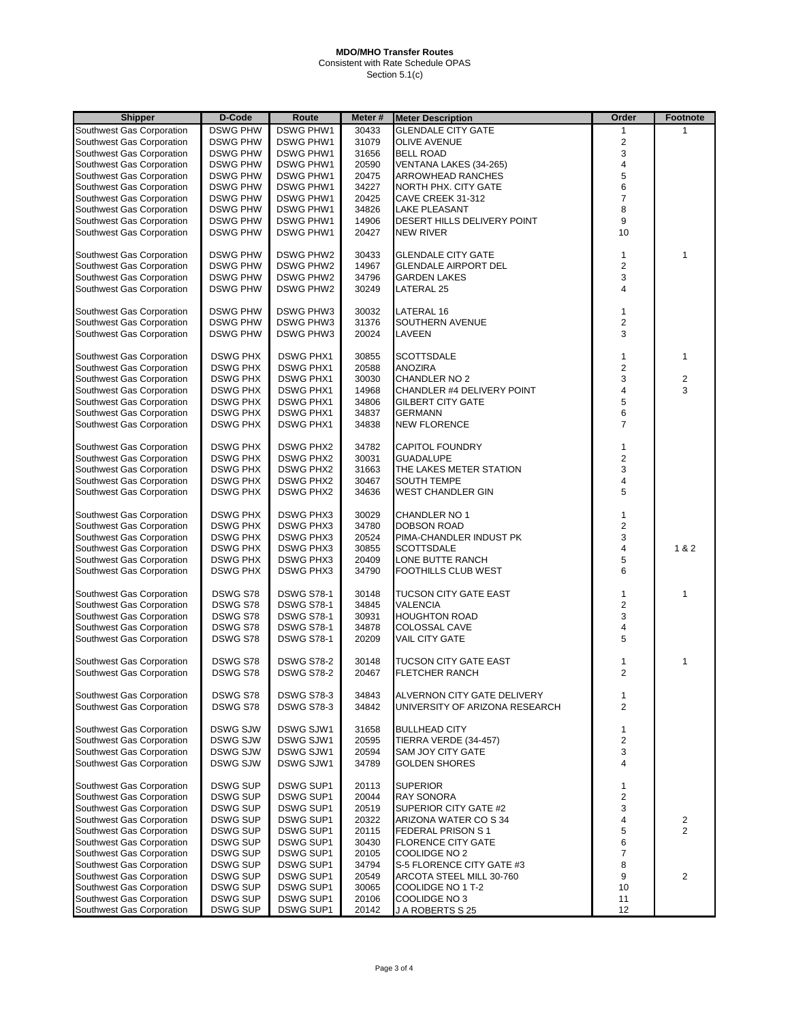Consistent with Rate Schedule OPAS Section 5.1(c)

| Shipper                   | D-Code          | Route             | Meter # | <b>Meter Description</b>       | Order                   | <b>Footnote</b>         |
|---------------------------|-----------------|-------------------|---------|--------------------------------|-------------------------|-------------------------|
| Southwest Gas Corporation | <b>DSWG PHW</b> | <b>DSWG PHW1</b>  | 30433   | <b>GLENDALE CITY GATE</b>      | $\mathbf{1}$            |                         |
| Southwest Gas Corporation | <b>DSWG PHW</b> | <b>DSWG PHW1</b>  | 31079   | <b>OLIVE AVENUE</b>            | $\overline{2}$          |                         |
| Southwest Gas Corporation | <b>DSWG PHW</b> | <b>DSWG PHW1</b>  | 31656   | <b>BELL ROAD</b>               | 3                       |                         |
| Southwest Gas Corporation | <b>DSWG PHW</b> | <b>DSWG PHW1</b>  | 20590   | VENTANA LAKES (34-265)         | $\overline{4}$          |                         |
| Southwest Gas Corporation | <b>DSWG PHW</b> | <b>DSWG PHW1</b>  | 20475   | <b>ARROWHEAD RANCHES</b>       | 5                       |                         |
| Southwest Gas Corporation | <b>DSWG PHW</b> | <b>DSWG PHW1</b>  | 34227   | NORTH PHX. CITY GATE           | 6                       |                         |
|                           | <b>DSWG PHW</b> | <b>DSWG PHW1</b>  | 20425   | CAVE CREEK 31-312              | $\overline{7}$          |                         |
| Southwest Gas Corporation |                 |                   |         |                                |                         |                         |
| Southwest Gas Corporation | <b>DSWG PHW</b> | <b>DSWG PHW1</b>  | 34826   | <b>LAKE PLEASANT</b>           | 8                       |                         |
| Southwest Gas Corporation | <b>DSWG PHW</b> | <b>DSWG PHW1</b>  | 14906   | DESERT HILLS DELIVERY POINT    | 9                       |                         |
| Southwest Gas Corporation | <b>DSWG PHW</b> | <b>DSWG PHW1</b>  | 20427   | <b>NEW RIVER</b>               | 10                      |                         |
| Southwest Gas Corporation | <b>DSWG PHW</b> | <b>DSWG PHW2</b>  | 30433   | <b>GLENDALE CITY GATE</b>      | $\mathbf{1}$            | 1                       |
| Southwest Gas Corporation | <b>DSWG PHW</b> | <b>DSWG PHW2</b>  | 14967   | <b>GLENDALE AIRPORT DEL</b>    | $\overline{2}$          |                         |
| Southwest Gas Corporation | <b>DSWG PHW</b> | <b>DSWG PHW2</b>  | 34796   | <b>GARDEN LAKES</b>            | 3                       |                         |
| Southwest Gas Corporation | <b>DSWG PHW</b> | <b>DSWG PHW2</b>  | 30249   | LATERAL 25                     | $\overline{\mathbf{4}}$ |                         |
|                           |                 |                   |         |                                |                         |                         |
| Southwest Gas Corporation | <b>DSWG PHW</b> | <b>DSWG PHW3</b>  | 30032   | LATERAL 16                     | $\mathbf{1}$            |                         |
| Southwest Gas Corporation | <b>DSWG PHW</b> | <b>DSWG PHW3</b>  | 31376   | SOUTHERN AVENUE                | $\sqrt{2}$              |                         |
| Southwest Gas Corporation | <b>DSWG PHW</b> | <b>DSWG PHW3</b>  | 20024   | LAVEEN                         | 3                       |                         |
|                           |                 |                   |         |                                |                         |                         |
| Southwest Gas Corporation | <b>DSWG PHX</b> | <b>DSWG PHX1</b>  | 30855   | <b>SCOTTSDALE</b>              | $\mathbf{1}$            | $\mathbf{1}$            |
| Southwest Gas Corporation | <b>DSWG PHX</b> | <b>DSWG PHX1</b>  | 20588   | <b>ANOZIRA</b>                 | $\overline{2}$          |                         |
| Southwest Gas Corporation | <b>DSWG PHX</b> | <b>DSWG PHX1</b>  | 30030   | CHANDLER NO 2                  | $\mathsf 3$             | $\overline{\mathbf{c}}$ |
| Southwest Gas Corporation | <b>DSWG PHX</b> | <b>DSWG PHX1</b>  | 14968   | CHANDLER #4 DELIVERY POINT     | $\overline{\mathbf{4}}$ | 3                       |
| Southwest Gas Corporation | <b>DSWG PHX</b> | <b>DSWG PHX1</b>  | 34806   | <b>GILBERT CITY GATE</b>       | 5                       |                         |
| Southwest Gas Corporation | <b>DSWG PHX</b> | <b>DSWG PHX1</b>  | 34837   | <b>GERMANN</b>                 | 6                       |                         |
| Southwest Gas Corporation | <b>DSWG PHX</b> | <b>DSWG PHX1</b>  | 34838   | <b>NEW FLORENCE</b>            | $\overline{7}$          |                         |
|                           |                 |                   |         |                                |                         |                         |
| Southwest Gas Corporation | <b>DSWG PHX</b> | <b>DSWG PHX2</b>  | 34782   | <b>CAPITOL FOUNDRY</b>         | $\mathbf{1}$            |                         |
| Southwest Gas Corporation | <b>DSWG PHX</b> | <b>DSWG PHX2</b>  | 30031   | <b>GUADALUPE</b>               | $\overline{2}$          |                         |
| Southwest Gas Corporation | <b>DSWG PHX</b> | <b>DSWG PHX2</b>  | 31663   | THE LAKES METER STATION        | 3                       |                         |
| Southwest Gas Corporation | DSWG PHX        | <b>DSWG PHX2</b>  | 30467   | <b>SOUTH TEMPE</b>             | 4                       |                         |
| Southwest Gas Corporation | <b>DSWG PHX</b> | <b>DSWG PHX2</b>  | 34636   | <b>WEST CHANDLER GIN</b>       | 5                       |                         |
|                           |                 |                   |         |                                |                         |                         |
| Southwest Gas Corporation | <b>DSWG PHX</b> | <b>DSWG PHX3</b>  | 30029   | CHANDLER NO 1                  | 1                       |                         |
| Southwest Gas Corporation | <b>DSWG PHX</b> | <b>DSWG PHX3</b>  | 34780   | <b>DOBSON ROAD</b>             | $\overline{2}$          |                         |
| Southwest Gas Corporation | <b>DSWG PHX</b> | <b>DSWG PHX3</b>  | 20524   | PIMA-CHANDLER INDUST PK        | 3                       |                         |
| Southwest Gas Corporation | <b>DSWG PHX</b> | <b>DSWG PHX3</b>  | 30855   | <b>SCOTTSDALE</b>              | $\overline{\mathbf{4}}$ | 1 & 2                   |
| Southwest Gas Corporation | <b>DSWG PHX</b> | <b>DSWG PHX3</b>  | 20409   | LONE BUTTE RANCH               | 5                       |                         |
| Southwest Gas Corporation | <b>DSWG PHX</b> | <b>DSWG PHX3</b>  | 34790   | FOOTHILLS CLUB WEST            | 6                       |                         |
|                           |                 |                   |         |                                |                         |                         |
| Southwest Gas Corporation | DSWG S78        | <b>DSWG S78-1</b> | 30148   | <b>TUCSON CITY GATE EAST</b>   | $\mathbf{1}$            | 1                       |
| Southwest Gas Corporation | DSWG S78        | <b>DSWG S78-1</b> | 34845   | VALENCIA                       | $\overline{2}$          |                         |
| Southwest Gas Corporation | DSWG S78        | <b>DSWG S78-1</b> | 30931   | <b>HOUGHTON ROAD</b>           | 3                       |                         |
| Southwest Gas Corporation | DSWG S78        | <b>DSWG S78-1</b> | 34878   | COLOSSAL CAVE                  | 4                       |                         |
| Southwest Gas Corporation | DSWG S78        | <b>DSWG S78-1</b> | 20209   | <b>VAIL CITY GATE</b>          | 5                       |                         |
| Southwest Gas Corporation | DSWG S78        | <b>DSWG S78-2</b> | 30148   | TUCSON CITY GATE EAST          |                         | 1                       |
| Southwest Gas Corporation | DSWG S78        | <b>DSWG S78-2</b> | 20467   | <b>FLETCHER RANCH</b>          | 1<br>$\overline{2}$     |                         |
|                           |                 |                   |         |                                |                         |                         |
| Southwest Gas Corporation | DSWG S78        | <b>DSWG S78-3</b> | 34843   | ALVERNON CITY GATE DELIVERY    | 1                       |                         |
| Southwest Gas Corporation | DSWG S78        | <b>DSWG S78-3</b> | 34842   | UNIVERSITY OF ARIZONA RESEARCH | $\overline{2}$          |                         |
|                           |                 |                   |         |                                |                         |                         |
| Southwest Gas Corporation | <b>DSWG SJW</b> | DSWG SJW1         | 31658   | <b>BULLHEAD CITY</b>           | $\mathbf{1}$            |                         |
| Southwest Gas Corporation | DSWG SJW        | DSWG SJW1         | 20595   | TIERRA VERDE (34-457)          | $\overline{\mathbf{c}}$ |                         |
| Southwest Gas Corporation | <b>DSWG SJW</b> | DSWG SJW1         | 20594   | <b>SAM JOY CITY GATE</b>       | 3                       |                         |
| Southwest Gas Corporation | DSWG SJW        | DSWG SJW1         | 34789   | <b>GOLDEN SHORES</b>           | 4                       |                         |
|                           |                 |                   |         |                                |                         |                         |
| Southwest Gas Corporation | DSWG SUP        | <b>DSWG SUP1</b>  | 20113   | <b>SUPERIOR</b>                | 1                       |                         |
| Southwest Gas Corporation | DSWG SUP        | <b>DSWG SUP1</b>  | 20044   | <b>RAY SONORA</b>              | $\mathbf 2$             |                         |
| Southwest Gas Corporation | <b>DSWG SUP</b> | <b>DSWG SUP1</b>  | 20519   | SUPERIOR CITY GATE #2          | 3                       |                         |
| Southwest Gas Corporation | <b>DSWG SUP</b> | <b>DSWG SUP1</b>  | 20322   | ARIZONA WATER CO S 34          | 4                       | 2                       |
| Southwest Gas Corporation | DSWG SUP        | <b>DSWG SUP1</b>  | 20115   | FEDERAL PRISON S1              | 5                       | $\overline{2}$          |
| Southwest Gas Corporation | DSWG SUP        | <b>DSWG SUP1</b>  | 30430   | <b>FLORENCE CITY GATE</b>      | 6                       |                         |
| Southwest Gas Corporation | <b>DSWG SUP</b> | DSWG SUP1         | 20105   | COOLIDGE NO 2                  | $\overline{7}$          |                         |
| Southwest Gas Corporation | DSWG SUP        | <b>DSWG SUP1</b>  | 34794   | S-5 FLORENCE CITY GATE #3      | 8                       |                         |
| Southwest Gas Corporation | DSWG SUP        | <b>DSWG SUP1</b>  | 20549   | ARCOTA STEEL MILL 30-760       | 9                       | $\overline{2}$          |
| Southwest Gas Corporation | DSWG SUP        | <b>DSWG SUP1</b>  | 30065   | COOLIDGE NO 1 T-2              | 10                      |                         |
| Southwest Gas Corporation | <b>DSWG SUP</b> | DSWG SUP1         | 20106   | COOLIDGE NO 3                  | 11                      |                         |
| Southwest Gas Corporation | DSWG SUP        | DSWG SUP1         | 20142   | J A ROBERTS S 25               | 12                      |                         |